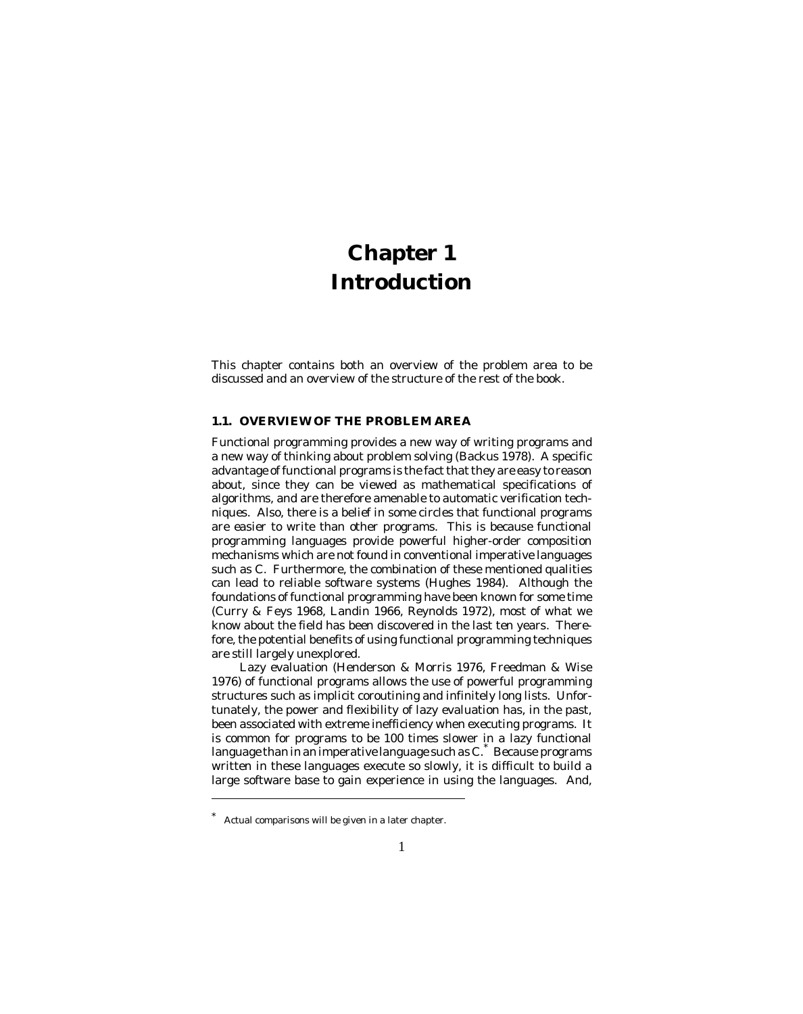# **Chapter 1 Introduction**

This chapter contains both an overview of the problem area to be discussed and an overview of the structure of the rest of the book.

# **1.1. OVERVIEW OF THE PROBLEM AREA**

Functional programming provides a new way of writing programs and a new way of thinking about problem solving (Backus 1978). A specific advantage of functional programs is the fact that they are easy to reason about, since they can be viewed as mathematical specifications of algorithms, and are therefore amenable to automatic verification techniques. Also, there is a belief in some circles that functional programs are easier to write than other programs. This is because functional programming languages provide powerful higher-order composition mechanisms which are not found in conventional imperative languages such as C. Furthermore, the combination of these mentioned qualities can lead to reliable software systems (Hughes 1984). Although the foundations of functional programming have been known for some time (Curry & Feys 1968, Landin 1966, Reynolds 1972), most of what we know about the field has been discovered in the last ten years. Therefore, the potential benefits of using functional programming techniques are still largely unexplored.

Lazy evaluation (Henderson & Morris 1976, Freedman & Wise 1976) of functional programs allows the use of powerful programming structures such as implicit coroutining and infinitely long lists. Unfortunately, the power and flexibility of lazy evaluation has, in the past, been associated with extreme inefficiency when executing programs. It is common for programs to be 100 times slower in a lazy functional language than in an imperative language such as C. $^*$  Because programs written in these languages execute so slowly, it is difficult to build a large software base to gain experience in using the languages. And,

Actual comparisons will be given in a later chapter.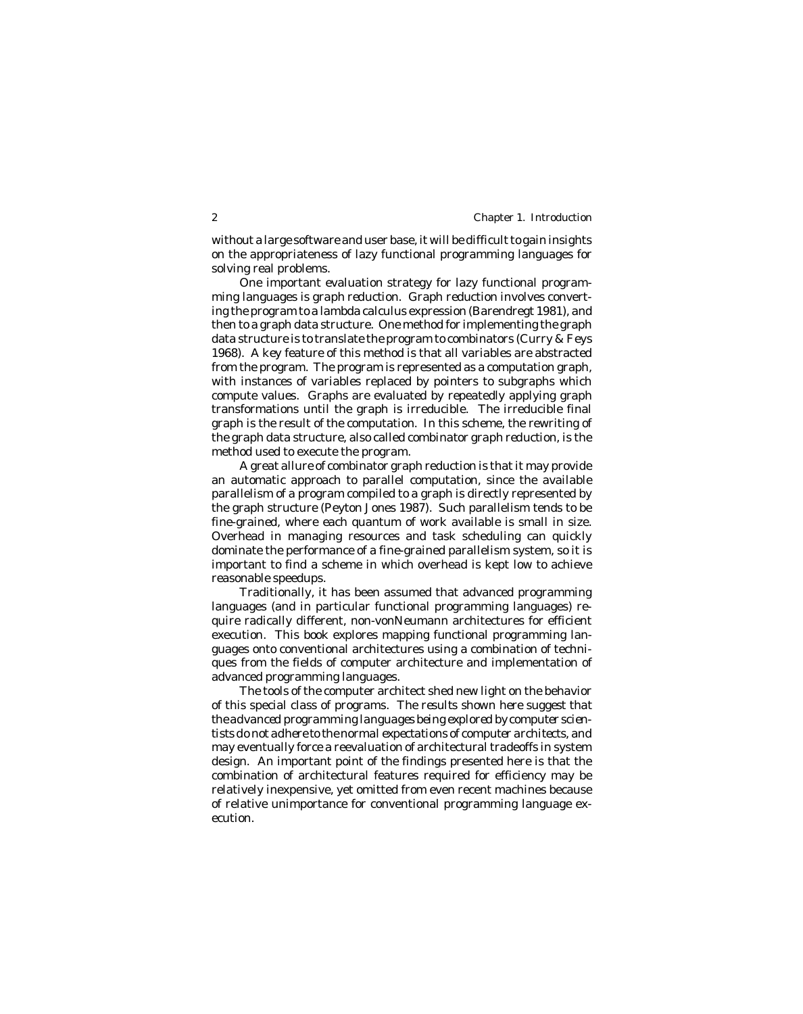2 Chapter 1. Introduction

without a large software and user base, it will be difficult to gain insights on the appropriateness of lazy functional programming languages for solving real problems.

One important evaluation strategy for lazy functional programming languages is *graph reduction*. Graph reduction involves converting the program to a lambda calculus expression (Barendregt 1981), and then to a graph data structure. One method for implementing the graph data structure is to translate the program to combinators (Curry & Feys 1968). A key feature of this method is that all variables are abstracted from the program. The program is represented as a computation graph, with instances of variables replaced by pointers to subgraphs which compute values. Graphs are evaluated by repeatedly applying graph transformations until the graph is irreducible. The irreducible final graph is the result of the computation. In this scheme, the rewriting of the graph data structure, also called *combinator graph reduction*, is the method used to execute the program.

A great allure of combinator graph reduction is that it may provide an automatic approach to parallel computation, since the available parallelism of a program compiled to a graph is directly represented by the graph structure (Peyton Jones 1987). Such parallelism tends to be fine-grained, where each quantum of work available is small in size. Overhead in managing resources and task scheduling can quickly dominate the performance of a fine-grained parallelism system, so it is important to find a scheme in which overhead is kept low to achieve reasonable speedups.

Traditionally, it has been assumed that advanced programming languages (and in particular functional programming languages) require radically different, non-vonNeumann architectures for efficient execution. This book explores mapping functional programming languages onto conventional architectures using a combination of techniques from the fields of computer architecture and implementation of advanced programming languages.

The tools of the computer architect shed new light on the behavior of this special class of programs. *The results shown here suggest that the advanced programming languages being explored by computer scientists do not adhere to the normal expectations of computer architects*, and may eventually force a reevaluation of architectural tradeoffs in system design. An important point of the findings presented here is that the combination of architectural features required for efficiency may be relatively inexpensive, yet omitted from even recent machines because of relative unimportance for conventional programming language execution.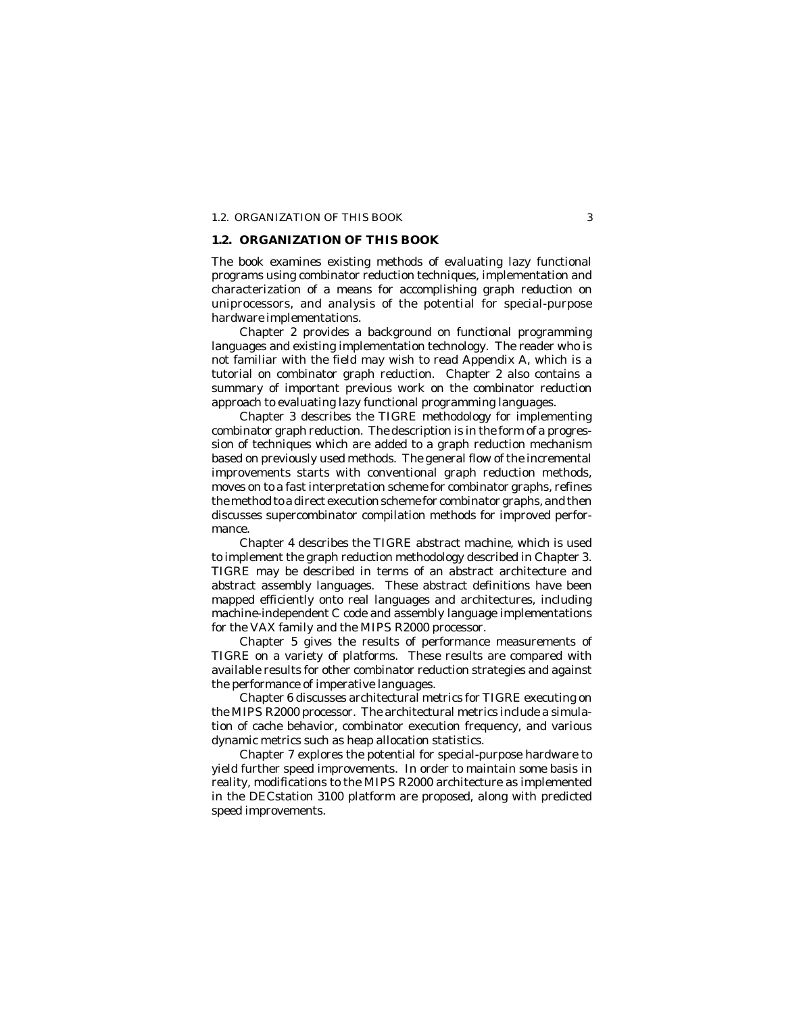### 1.2. ORGANIZATION OF THIS BOOK 3

## **1.2. ORGANIZATION OF THIS BOOK**

The book examines existing methods of evaluating lazy functional programs using combinator reduction techniques, implementation and characterization of a means for accomplishing graph reduction on uniprocessors, and analysis of the potential for special-purpose hardware implementations.

Chapter 2 provides a background on functional programming languages and existing implementation technology. The reader who is not familiar with the field may wish to read Appendix A, which is a tutorial on combinator graph reduction. Chapter 2 also contains a summary of important previous work on the combinator reduction approach to evaluating lazy functional programming languages.

Chapter 3 describes the TIGRE methodology for implementing combinator graph reduction. The description is in the form of a progression of techniques which are added to a graph reduction mechanism based on previously used methods. The general flow of the incremental improvements starts with conventional graph reduction methods, moves on to a fast interpretation scheme for combinator graphs, refines the method to a direct execution scheme for combinator graphs, and then discusses supercombinator compilation methods for improved performance.

Chapter 4 describes the TIGRE abstract machine, which is used to implement the graph reduction methodology described in Chapter 3. TIGRE may be described in terms of an abstract architecture and abstract assembly languages. These abstract definitions have been mapped efficiently onto real languages and architectures, including machine-independent C code and assembly language implementations for the VAX family and the MIPS R2000 processor.

Chapter 5 gives the results of performance measurements of TIGRE on a variety of platforms. These results are compared with available results for other combinator reduction strategies and against the performance of imperative languages.

Chapter 6 discusses architectural metrics for TIGRE executing on the MIPS R2000 processor. The architectural metrics include a simulation of cache behavior, combinator execution frequency, and various dynamic metrics such as heap allocation statistics.

Chapter 7 explores the potential for special-purpose hardware to yield further speed improvements. In order to maintain some basis in reality, modifications to the MIPS R2000 architecture as implemented in the DECstation 3100 platform are proposed, along with predicted speed improvements.